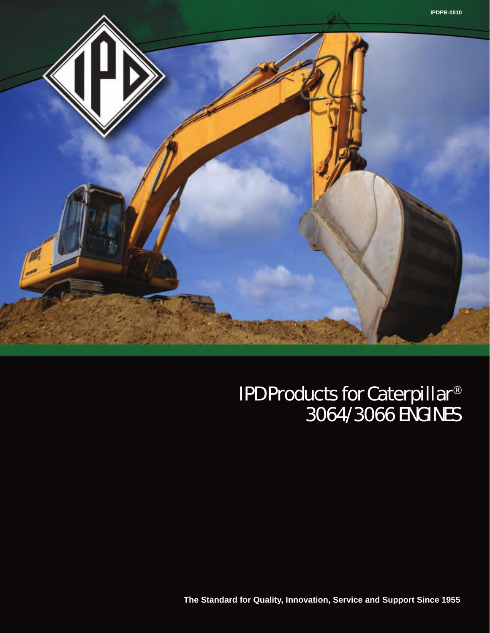

### IPD Products for Caterpillar® 3064/3066 ENGINES

**The Standard for Quality, Innovation, Service and Support Since 1955**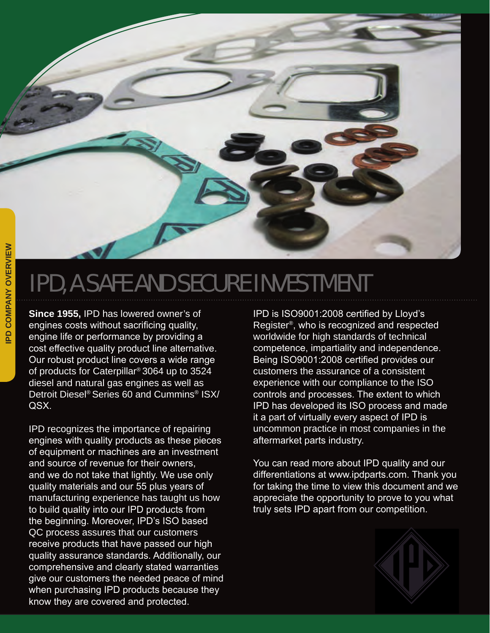### IPD, A SAFE AND SECURE INVESTMENT

**Since 1955,** IPD has lowered owner's of engines costs without sacrificing quality, engine life or performance by providing a cost effective quality product line alternative. Our robust product line covers a wide range of products for Caterpillar® 3064 up to 3524 diesel and natural gas engines as well as Detroit Diesel® Series 60 and Cummins® ISX/ QSX.

IPD recognizes the importance of repairing engines with quality products as these pieces of equipment or machines are an investment and source of revenue for their owners, and we do not take that lightly. We use only quality materials and our 55 plus years of manufacturing experience has taught us how to build quality into our IPD products from the beginning. Moreover, IPD's ISO based QC process assures that our customers receive products that have passed our high quality assurance standards. Additionally, our comprehensive and clearly stated warranties give our customers the needed peace of mind when purchasing IPD products because they know they are covered and protected.

IPD is ISO9001:2008 certified by Lloyd's Register®, who is recognized and respected worldwide for high standards of technical competence, impartiality and independence. Being ISO9001:2008 certified provides our customers the assurance of a consistent experience with our compliance to the ISO controls and processes. The extent to which IPD has developed its ISO process and made it a part of virtually every aspect of IPD is uncommon practice in most companies in the aftermarket parts industry.

You can read more about IPD quality and our differentiations at www.ipdparts.com. Thank you for taking the time to view this document and we appreciate the opportunity to prove to you what truly sets IPD apart from our competition.

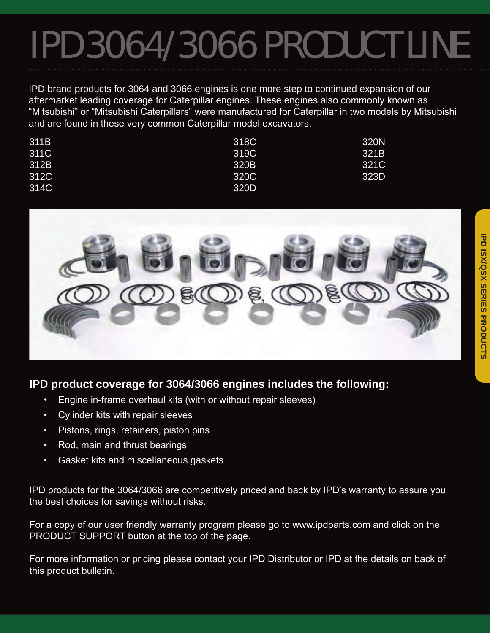# IPD 3064/3066 PRODUCT LINE

IPD brand products for 3064 and 3066 engines is one more step to continued expansion of our aftermarket leading coverage for Caterpillar engines. These engines also commonly known as "Mitsubishi" or "Mitsubishi Caterpillars" were manufactured for Caterpillar in two models by Mitsubishi and are found in these very common Caterpillar model excavators.

| 311B | 318C | 320N |
|------|------|------|
| 311C | 319C | 321B |
| 312B | 320B | 321C |
| 312C | 320C | 323D |
| 314C | 320D |      |



#### **IPD product coverage for 3064/3066 engines includes the following:**

- Engine in-frame overhaul kits (with or without repair sleeves)
- Cylinder kits with repair sleeves
- Pistons, rings, retainers, piston pins
- Rod, main and thrust bearings
- Gasket kits and miscellaneous gaskets

IPD products for the 3064/3066 are competitively priced and back by IPD's warranty to assure you the best choices for savings without risks.

For a copy of our user friendly warranty program please go to www.ipdparts.com and click on the PRODUCT SUPPORT button at the top of the page.

For more information or pricing please contact your IPD Distributor or IPD at the details on back of this product bulletin.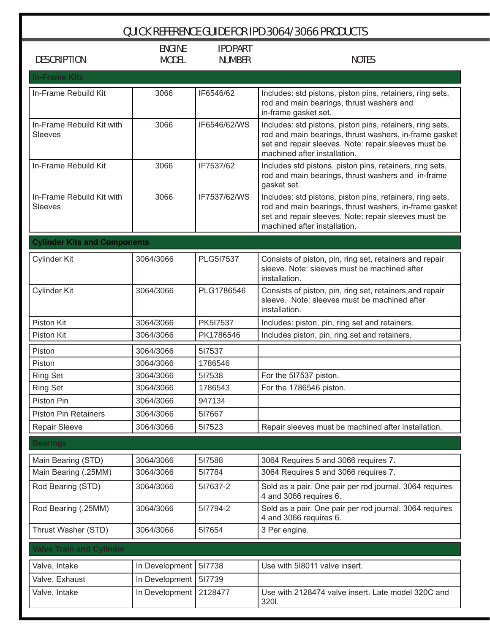| <b>QUICK REFERENCE GUIDE FOR IPD 3064/3066 PRODUCTS</b> |                |                 |                                                                                                                                                                                                             |  |  |
|---------------------------------------------------------|----------------|-----------------|-------------------------------------------------------------------------------------------------------------------------------------------------------------------------------------------------------------|--|--|
|                                                         | <b>ENGINE</b>  | <b>IPD PART</b> |                                                                                                                                                                                                             |  |  |
| <b>DESCRIPTION</b>                                      | <b>MODEL</b>   | <b>NUMBER</b>   | <b>NOTES</b>                                                                                                                                                                                                |  |  |
| <b>In-Frame Kits</b>                                    |                |                 |                                                                                                                                                                                                             |  |  |
| In-Frame Rebuild Kit                                    | 3066           | IF6546/62       | Includes: std pistons, piston pins, retainers, ring sets,<br>rod and main bearings, thrust washers and<br>in-frame gasket set.                                                                              |  |  |
| In-Frame Rebuild Kit with<br><b>Sleeves</b>             | 3066           | IF6546/62/WS    | Includes: std pistons, piston pins, retainers, ring sets,<br>rod and main bearings, thrust washers, in-frame gasket<br>set and repair sleeves. Note: repair sleeves must be<br>machined after installation. |  |  |
| In-Frame Rebuild Kit                                    | 3066           | IF7537/62       | Includes std pistons, piston pins, retainers, ring sets,<br>rod and main bearings, thrust washers and in-frame<br>gasket set.                                                                               |  |  |
| In-Frame Rebuild Kit with<br><b>Sleeves</b>             | 3066           | IF7537/62/WS    | Includes: std pistons, piston pins, retainers, ring sets,<br>rod and main bearings, thrust washers, in-frame gasket<br>set and repair sleeves. Note: repair sleeves must be<br>machined after installation. |  |  |
| <b>Cylinder Kits and Components</b>                     |                |                 |                                                                                                                                                                                                             |  |  |
| <b>Cylinder Kit</b>                                     | 3064/3066      | PLG5I7537       | Consists of piston, pin, ring set, retainers and repair<br>sleeve. Note: sleeves must be machined after<br>installation.                                                                                    |  |  |
| <b>Cylinder Kit</b>                                     | 3064/3066      | PLG1786546      | Consists of piston, pin, ring set, retainers and repair<br>sleeve. Note: sleeves must be machined after<br>installation.                                                                                    |  |  |
| Piston Kit                                              | 3064/3066      | PK5I7537        | Includes: piston, pin, ring set and retainers.                                                                                                                                                              |  |  |
| Piston Kit                                              | 3064/3066      | PK1786546       | Includes piston, pin, ring set and retainers.                                                                                                                                                               |  |  |
| Piston                                                  | 3064/3066      | 517537          |                                                                                                                                                                                                             |  |  |
| Piston                                                  | 3064/3066      | 1786546         |                                                                                                                                                                                                             |  |  |
| <b>Ring Set</b>                                         | 3064/3066      | 517538          | For the 517537 piston.                                                                                                                                                                                      |  |  |
| <b>Ring Set</b>                                         | 3064/3066      | 1786543         | For the 1786546 piston.                                                                                                                                                                                     |  |  |
| Piston Pin                                              | 3064/3066      | 947134          |                                                                                                                                                                                                             |  |  |
| <b>Piston Pin Retainers</b>                             | 3064/3066      | 517667          |                                                                                                                                                                                                             |  |  |
| <b>Repair Sleeve</b>                                    | 3064/3066      | 517523          | Repair sleeves must be machined after installation.                                                                                                                                                         |  |  |
| <b>Bearings</b>                                         |                |                 |                                                                                                                                                                                                             |  |  |
| Main Bearing (STD)                                      | 3064/3066      | 517588          | 3064 Requires 5 and 3066 requires 7.                                                                                                                                                                        |  |  |
| Main Bearing (.25MM)                                    | 3064/3066      | 517784          | 3064 Requires 5 and 3066 requires 7.                                                                                                                                                                        |  |  |
| Rod Bearing (STD)                                       | 3064/3066      | 517637-2        | Sold as a pair. One pair per rod journal. 3064 requires<br>4 and 3066 requires 6.                                                                                                                           |  |  |
| Rod Bearing (.25MM)                                     | 3064/3066      | 517794-2        | Sold as a pair. One pair per rod journal. 3064 requires<br>4 and 3066 requires 6.                                                                                                                           |  |  |
| Thrust Washer (STD)                                     | 3064/3066      | 517654          | 3 Per engine.                                                                                                                                                                                               |  |  |
| <b>Valve Train and Cylinder</b>                         |                |                 |                                                                                                                                                                                                             |  |  |
| Valve, Intake                                           | In Development | 517738          | Use with 518011 valve insert.                                                                                                                                                                               |  |  |
| Valve, Exhaust                                          | In Development | 517739          |                                                                                                                                                                                                             |  |  |
| Valve, Intake                                           | In Development | 2128477         | Use with 2128474 valve insert. Late model 320C and<br>320I.                                                                                                                                                 |  |  |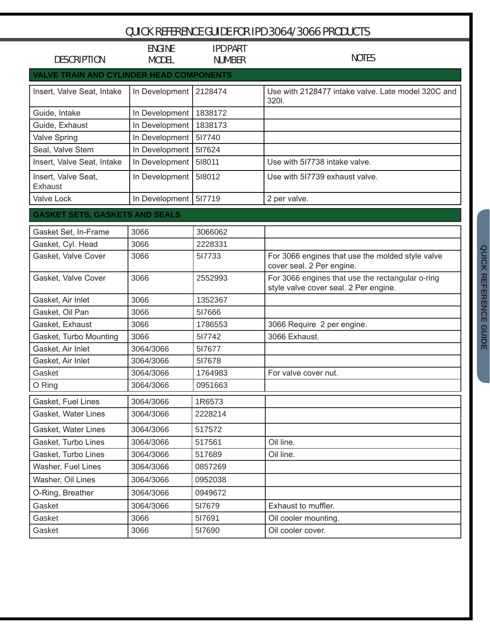| <b>QUICK REFERENCE GUIDE FOR IPD 3064/3066 PRODUCTS</b> |                               |                                  |                                                                                           |  |
|---------------------------------------------------------|-------------------------------|----------------------------------|-------------------------------------------------------------------------------------------|--|
| <b>DESCRIPTION</b>                                      | <b>ENGINE</b><br><b>MODEL</b> | <b>IPD PART</b><br><b>NUMBER</b> | <b>NOTES</b>                                                                              |  |
| <b>VALVE TRAIN AND CYLINDER HEAD COMPONENTS</b>         |                               |                                  |                                                                                           |  |
| Insert, Valve Seat, Intake                              | In Development                | 2128474                          | Use with 2128477 intake valve. Late model 320C and<br>3201.                               |  |
| Guide, Intake                                           | In Development                | 1838172                          |                                                                                           |  |
| Guide, Exhaust                                          | In Development                | 1838173                          |                                                                                           |  |
| <b>Valve Spring</b>                                     | In Development                | 517740                           |                                                                                           |  |
| Seal, Valve Stem                                        | In Development                | 517624                           |                                                                                           |  |
| Insert, Valve Seat, Intake                              | In Development                | 518011                           | Use with 517738 intake valve.                                                             |  |
| Insert, Valve Seat,<br>Exhaust                          | In Development                | 518012                           | Use with 517739 exhaust valve.                                                            |  |
| <b>Valve Lock</b>                                       | In Development   517719       |                                  | 2 per valve.                                                                              |  |
| <b>GASKET SETS, GASKETS AND SEALS</b>                   |                               |                                  |                                                                                           |  |
| Gasket Set, In-Frame                                    | 3066                          | 3066062                          |                                                                                           |  |
| Gasket, Cyl. Head                                       | 3066                          | 2228331                          |                                                                                           |  |
| Gasket, Valve Cover                                     | 3066                          | 517733                           | For 3066 engines that use the molded style valve<br>cover seal. 2 Per engine.             |  |
| Gasket, Valve Cover                                     | 3066                          | 2552993                          | For 3066 engines that use the rectangular o-ring<br>style valve cover seal. 2 Per engine. |  |
| Gasket, Air Inlet                                       | 3066                          | 1352367                          |                                                                                           |  |
| Gasket, Oil Pan                                         | 3066                          | 517666                           |                                                                                           |  |
| Gasket, Exhaust                                         | 3066                          | 1786553                          | 3066 Require 2 per engine.                                                                |  |
| Gasket, Turbo Mounting                                  | 3066                          | 517742                           | 3066 Exhaust.                                                                             |  |
| Gasket, Air Inlet                                       | 3064/3066                     | 517677                           |                                                                                           |  |
| Gasket, Air Inlet                                       | 3064/3066                     | 517678                           |                                                                                           |  |
| Gasket                                                  | 3064/3066                     | 1764983                          | For valve cover nut.                                                                      |  |
| O Ring                                                  | 3064/3066                     | 0951663                          |                                                                                           |  |
| Gasket, Fuel Lines                                      | 3064/3066                     | 1R6573                           |                                                                                           |  |
| Gasket, Water Lines                                     | 3064/3066                     | 2228214                          |                                                                                           |  |
| Gasket, Water Lines                                     | 3064/3066                     | 517572                           |                                                                                           |  |
| Gasket, Turbo Lines                                     | 3064/3066                     | 517561                           | Oil line.                                                                                 |  |
| Gasket, Turbo Lines                                     | 3064/3066                     | 517689                           | Oil line.                                                                                 |  |
| Washer, Fuel Lines                                      | 3064/3066                     | 0857269                          |                                                                                           |  |
| Washer, Oil Lines                                       | 3064/3066                     | 0952038                          |                                                                                           |  |
| O-Ring, Breather                                        | 3064/3066                     | 0949672                          |                                                                                           |  |
| Gasket                                                  | 3064/3066                     | 517679                           | Exhaust to muffler.                                                                       |  |
| Gasket                                                  | 3066                          | 517691                           | Oil cooler mounting.                                                                      |  |
| Gasket                                                  | 3066                          | 517690                           | Oil cooler cover.                                                                         |  |